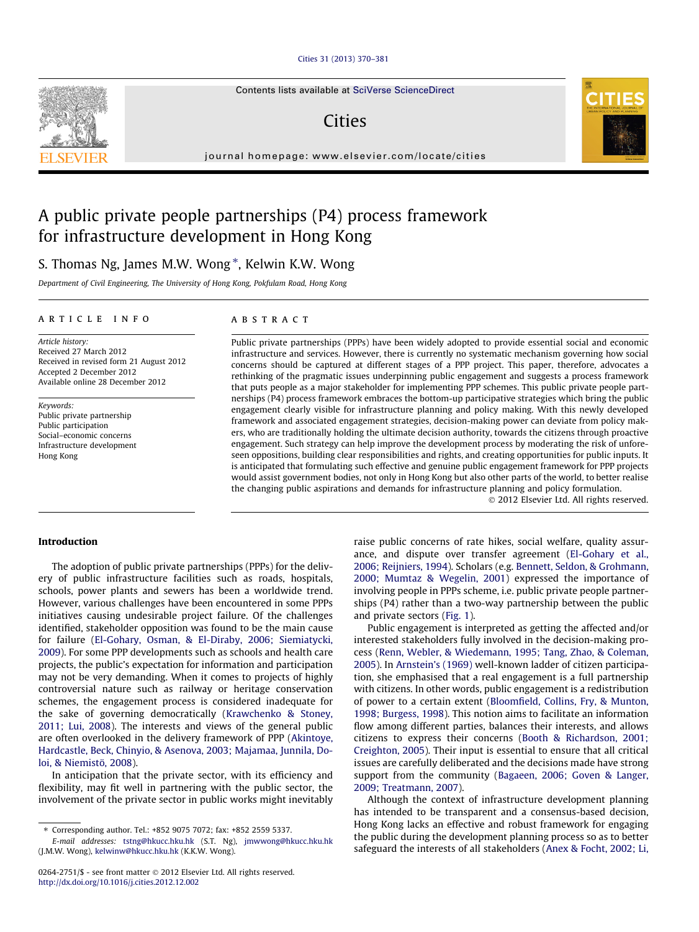#### [Cities 31 \(2013\) 370–381](http://dx.doi.org/10.1016/j.cities.2012.12.002)

Contents lists available at [SciVerse ScienceDirect](http://www.sciencedirect.com/science/journal/02642751)

### Cities

journal homepage: [www.elsevier.com/locate/cities](http://www.elsevier.com/locate/cities)

## A public private people partnerships (P4) process framework for infrastructure development in Hong Kong

S. Thomas Ng, James M.W. Wong \*, Kelwin K.W. Wong

Department of Civil Engineering, The University of Hong Kong, Pokfulam Road, Hong Kong

#### article info

Article history: Received 27 March 2012 Received in revised form 21 August 2012 Accepted 2 December 2012 Available online 28 December 2012

Keywords: Public private partnership Public participation Social–economic concerns Infrastructure development Hong Kong

#### **ABSTRACT**

Public private partnerships (PPPs) have been widely adopted to provide essential social and economic infrastructure and services. However, there is currently no systematic mechanism governing how social concerns should be captured at different stages of a PPP project. This paper, therefore, advocates a rethinking of the pragmatic issues underpinning public engagement and suggests a process framework that puts people as a major stakeholder for implementing PPP schemes. This public private people partnerships (P4) process framework embraces the bottom-up participative strategies which bring the public engagement clearly visible for infrastructure planning and policy making. With this newly developed framework and associated engagement strategies, decision-making power can deviate from policy makers, who are traditionally holding the ultimate decision authority, towards the citizens through proactive engagement. Such strategy can help improve the development process by moderating the risk of unforeseen oppositions, building clear responsibilities and rights, and creating opportunities for public inputs. It is anticipated that formulating such effective and genuine public engagement framework for PPP projects would assist government bodies, not only in Hong Kong but also other parts of the world, to better realise the changing public aspirations and demands for infrastructure planning and policy formulation.

- 2012 Elsevier Ltd. All rights reserved.

#### Introduction

The adoption of public private partnerships (PPPs) for the delivery of public infrastructure facilities such as roads, hospitals, schools, power plants and sewers has been a worldwide trend. However, various challenges have been encountered in some PPPs initiatives causing undesirable project failure. Of the challenges identified, stakeholder opposition was found to be the main cause for failure ([El-Gohary, Osman, & El-Diraby, 2006; Siemiatycki,](#page--1-0) [2009\)](#page--1-0). For some PPP developments such as schools and health care projects, the public's expectation for information and participation may not be very demanding. When it comes to projects of highly controversial nature such as railway or heritage conservation schemes, the engagement process is considered inadequate for the sake of governing democratically ([Krawchenko & Stoney,](#page--1-0) [2011; Lui, 2008\)](#page--1-0). The interests and views of the general public are often overlooked in the delivery framework of PPP [\(Akintoye,](#page--1-0) [Hardcastle, Beck, Chinyio, & Asenova, 2003; Majamaa, Junnila, Do](#page--1-0)[loi, & Niemistö, 2008\)](#page--1-0).

In anticipation that the private sector, with its efficiency and flexibility, may fit well in partnering with the public sector, the involvement of the private sector in public works might inevitably raise public concerns of rate hikes, social welfare, quality assurance, and dispute over transfer agreement ([El-Gohary et al.,](#page--1-0) [2006; Reijniers, 1994\)](#page--1-0). Scholars (e.g. [Bennett, Seldon, & Grohmann,](#page--1-0) [2000; Mumtaz & Wegelin, 2001](#page--1-0)) expressed the importance of involving people in PPPs scheme, i.e. public private people partnerships (P4) rather than a two-way partnership between the public and private sectors ([Fig. 1](#page-1-0)).

Public engagement is interpreted as getting the affected and/or interested stakeholders fully involved in the decision-making process [\(Renn, Webler, & Wiedemann, 1995; Tang, Zhao, & Coleman,](#page--1-0) [2005\)](#page--1-0). In [Arnstein's \(1969\)](#page--1-0) well-known ladder of citizen participation, she emphasised that a real engagement is a full partnership with citizens. In other words, public engagement is a redistribution of power to a certain extent ([Bloomfield, Collins, Fry, & Munton,](#page--1-0) [1998; Burgess, 1998](#page--1-0)). This notion aims to facilitate an information flow among different parties, balances their interests, and allows citizens to express their concerns [\(Booth & Richardson, 2001;](#page--1-0) [Creighton, 2005\)](#page--1-0). Their input is essential to ensure that all critical issues are carefully deliberated and the decisions made have strong support from the community ([Bagaeen, 2006; Goven & Langer,](#page--1-0) [2009; Treatmann, 2007\)](#page--1-0).

Although the context of infrastructure development planning has intended to be transparent and a consensus-based decision, Hong Kong lacks an effective and robust framework for engaging the public during the development planning process so as to better safeguard the interests of all stakeholders [\(Anex & Focht, 2002; Li,](#page--1-0)





<sup>⇑</sup> Corresponding author. Tel.: +852 9075 7072; fax: +852 2559 5337.

E-mail addresses: [tstng@hkucc.hku.hk](mailto:tstng@hkucc.hku.hk) (S.T. Ng), [jmwwong@hkucc.hku.hk](mailto:jmwwong@hkucc.hku.hk) (J.M.W. Wong), [kelwinw@hkucc.hku.hk](mailto:kelwinw@hkucc.hku.hk) (K.K.W. Wong).

<sup>0264-2751/\$ -</sup> see front matter © 2012 Elsevier Ltd. All rights reserved. <http://dx.doi.org/10.1016/j.cities.2012.12.002>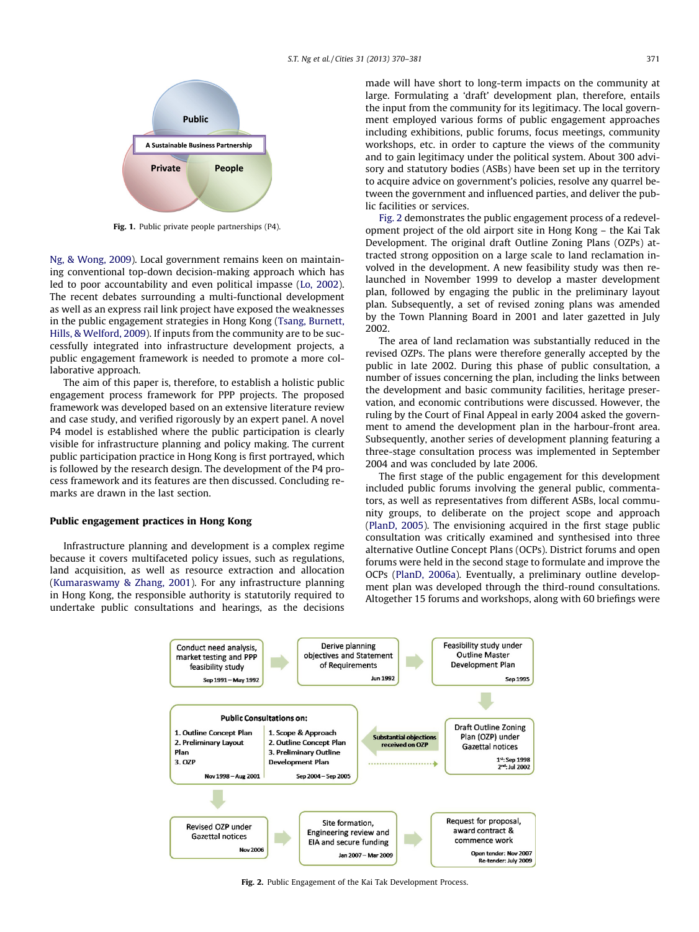<span id="page-1-0"></span>

Fig. 1. Public private people partnerships (P4).

[Ng, & Wong, 2009\)](#page--1-0). Local government remains keen on maintaining conventional top-down decision-making approach which has led to poor accountability and even political impasse ([Lo, 2002\)](#page--1-0). The recent debates surrounding a multi-functional development as well as an express rail link project have exposed the weaknesses in the public engagement strategies in Hong Kong [\(Tsang, Burnett,](#page--1-0) [Hills, & Welford, 2009](#page--1-0)). If inputs from the community are to be successfully integrated into infrastructure development projects, a public engagement framework is needed to promote a more collaborative approach.

The aim of this paper is, therefore, to establish a holistic public engagement process framework for PPP projects. The proposed framework was developed based on an extensive literature review and case study, and verified rigorously by an expert panel. A novel P4 model is established where the public participation is clearly visible for infrastructure planning and policy making. The current public participation practice in Hong Kong is first portrayed, which is followed by the research design. The development of the P4 process framework and its features are then discussed. Concluding remarks are drawn in the last section.

#### Public engagement practices in Hong Kong

Infrastructure planning and development is a complex regime because it covers multifaceted policy issues, such as regulations, land acquisition, as well as resource extraction and allocation ([Kumaraswamy & Zhang, 2001\)](#page--1-0). For any infrastructure planning in Hong Kong, the responsible authority is statutorily required to undertake public consultations and hearings, as the decisions made will have short to long-term impacts on the community at large. Formulating a 'draft' development plan, therefore, entails the input from the community for its legitimacy. The local government employed various forms of public engagement approaches including exhibitions, public forums, focus meetings, community workshops, etc. in order to capture the views of the community and to gain legitimacy under the political system. About 300 advisory and statutory bodies (ASBs) have been set up in the territory to acquire advice on government's policies, resolve any quarrel between the government and influenced parties, and deliver the public facilities or services.

Fig. 2 demonstrates the public engagement process of a redevelopment project of the old airport site in Hong Kong – the Kai Tak Development. The original draft Outline Zoning Plans (OZPs) attracted strong opposition on a large scale to land reclamation involved in the development. A new feasibility study was then relaunched in November 1999 to develop a master development plan, followed by engaging the public in the preliminary layout plan. Subsequently, a set of revised zoning plans was amended by the Town Planning Board in 2001 and later gazetted in July 2002.

The area of land reclamation was substantially reduced in the revised OZPs. The plans were therefore generally accepted by the public in late 2002. During this phase of public consultation, a number of issues concerning the plan, including the links between the development and basic community facilities, heritage preservation, and economic contributions were discussed. However, the ruling by the Court of Final Appeal in early 2004 asked the government to amend the development plan in the harbour-front area. Subsequently, another series of development planning featuring a three-stage consultation process was implemented in September 2004 and was concluded by late 2006.

The first stage of the public engagement for this development included public forums involving the general public, commentators, as well as representatives from different ASBs, local community groups, to deliberate on the project scope and approach ([PlanD, 2005](#page--1-0)). The envisioning acquired in the first stage public consultation was critically examined and synthesised into three alternative Outline Concept Plans (OCPs). District forums and open forums were held in the second stage to formulate and improve the OCPs [\(PlanD, 2006a](#page--1-0)). Eventually, a preliminary outline development plan was developed through the third-round consultations. Altogether 15 forums and workshops, along with 60 briefings were



Fig. 2. Public Engagement of the Kai Tak Development Process.